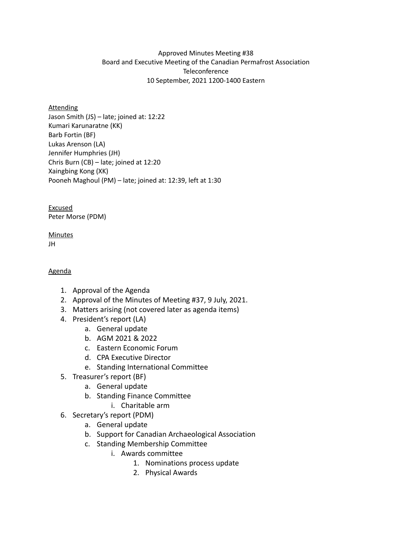### Approved Minutes Meeting #38 Board and Executive Meeting of the Canadian Permafrost Association **Teleconference** 10 September, 2021 1200-1400 Eastern

#### **Attending**

Jason Smith (JS) – late; joined at: 12:22 Kumari Karunaratne (KK) Barb Fortin (BF) Lukas Arenson (LA) Jennifer Humphries (JH) Chris Burn (CB) – late; joined at 12:20 Xaingbing Kong (XK) Pooneh Maghoul (PM) – late; joined at: 12:39, left at 1:30

Excused Peter Morse (PDM)

#### **Minutes** JH

### Agenda

- 1. Approval of the Agenda
- 2. Approval of the Minutes of Meeting #37, 9 July, 2021.
- 3. Matters arising (not covered later as agenda items)
- 4. President's report (LA)
	- a. General update
	- b. AGM 2021 & 2022
	- c. Eastern Economic Forum
	- d. CPA Executive Director
	- e. Standing International Committee
- 5. Treasurer's report (BF)
	- a. General update
	- b. Standing Finance Committee
		- i. Charitable arm
- 6. Secretary's report (PDM)
	- a. General update
	- b. Support for Canadian Archaeological Association
	- c. Standing Membership Committee
		- i. Awards committee
			- 1. Nominations process update
			- 2. Physical Awards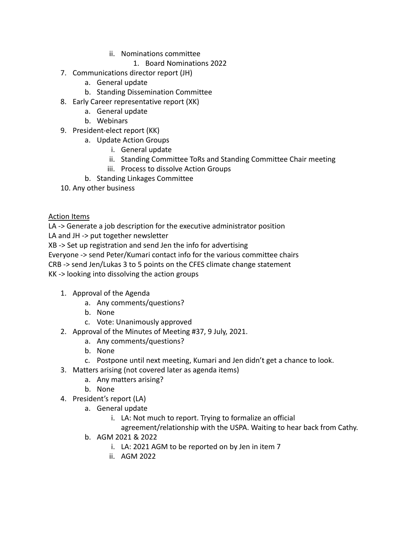- ii. Nominations committee
	- 1. Board Nominations 2022
- 7. Communications director report (JH)
	- a. General update
	- b. Standing Dissemination Committee
- 8. Early Career representative report (XK)
	- a. General update
	- b. Webinars
- 9. President-elect report (KK)
	- a. Update Action Groups
		- i. General update
		- ii. Standing Committee ToRs and Standing Committee Chair meeting
		- iii. Process to dissolve Action Groups
	- b. Standing Linkages Committee
- 10. Any other business

## Action Items

LA -> Generate a job description for the executive administrator position

LA and JH -> put together newsletter

XB -> Set up registration and send Jen the info for advertising

Everyone -> send Peter/Kumari contact info for the various committee chairs

CRB -> send Jen/Lukas 3 to 5 points on the CFES climate change statement

KK -> looking into dissolving the action groups

- 1. Approval of the Agenda
	- a. Any comments/questions?
	- b. None
	- c. Vote: Unanimously approved
- 2. Approval of the Minutes of Meeting #37, 9 July, 2021.
	- a. Any comments/questions?
	- b. None
	- c. Postpone until next meeting, Kumari and Jen didn't get a chance to look.
- 3. Matters arising (not covered later as agenda items)
	- a. Any matters arising?
	- b. None
- 4. President's report (LA)
	- a. General update
		- i. LA: Not much to report. Trying to formalize an official
			- agreement/relationship with the USPA. Waiting to hear back from Cathy.
	- b. AGM 2021 & 2022
		- i. LA: 2021 AGM to be reported on by Jen in item 7
		- ii. AGM 2022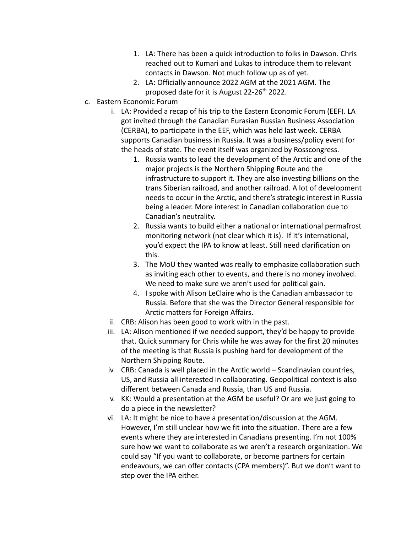- 1. LA: There has been a quick introduction to folks in Dawson. Chris reached out to Kumari and Lukas to introduce them to relevant contacts in Dawson. Not much follow up as of yet.
- 2. LA: Officially announce 2022 AGM at the 2021 AGM. The proposed date for it is August 22-26<sup>th</sup> 2022.
- c. Eastern Economic Forum
	- i. LA: Provided a recap of his trip to the Eastern Economic Forum (EEF). LA got invited through the Canadian Eurasian Russian Business Association (CERBA), to participate in the EEF, which was held last week. CERBA supports Canadian business in Russia. It was a business/policy event for the heads of state. The event itself was organized by Rosscongress.
		- 1. Russia wants to lead the development of the Arctic and one of the major projects is the Northern Shipping Route and the infrastructure to support it. They are also investing billions on the trans Siberian railroad, and another railroad. A lot of development needs to occur in the Arctic, and there's strategic interest in Russia being a leader. More interest in Canadian collaboration due to Canadian's neutrality.
		- 2. Russia wants to build either a national or international permafrost monitoring network (not clear which it is). If it's international, you'd expect the IPA to know at least. Still need clarification on this.
		- 3. The MoU they wanted was really to emphasize collaboration such as inviting each other to events, and there is no money involved. We need to make sure we aren't used for political gain.
		- 4. I spoke with Alison LeClaire who is the Canadian ambassador to Russia. Before that she was the Director General responsible for Arctic matters for Foreign Affairs.
	- ii. CRB: Alison has been good to work with in the past.
	- iii. LA: Alison mentioned if we needed support, they'd be happy to provide that. Quick summary for Chris while he was away for the first 20 minutes of the meeting is that Russia is pushing hard for development of the Northern Shipping Route.
	- iv. CRB: Canada is well placed in the Arctic world Scandinavian countries, US, and Russia all interested in collaborating. Geopolitical context is also different between Canada and Russia, than US and Russia.
	- v. KK: Would a presentation at the AGM be useful? Or are we just going to do a piece in the newsletter?
	- vi. LA: It might be nice to have a presentation/discussion at the AGM. However, I'm still unclear how we fit into the situation. There are a few events where they are interested in Canadians presenting. I'm not 100% sure how we want to collaborate as we aren't a research organization. We could say "If you want to collaborate, or become partners for certain endeavours, we can offer contacts (CPA members)". But we don't want to step over the IPA either.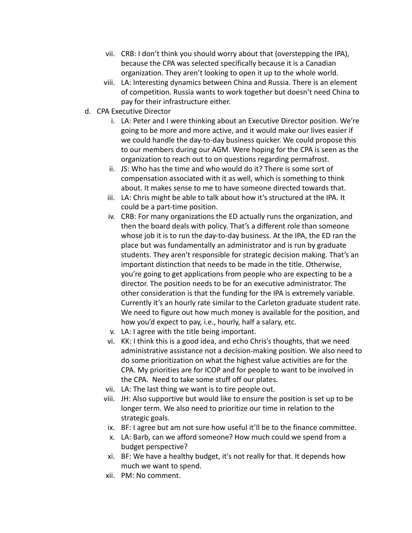- vii. CRB: I don't think you should worry about that (overstepping the IPA), because the CPA was selected specifically because it is a Canadian organization. They aren't looking to open it up to the whole world.
- viii. LA: Interesting dynamics between China and Russia. There is an element of competition. Russia wants to work together but doesn't need China to pay for their infrastructure either.
- d. CPA Executive Director
	- i. LA: Peter and I were thinking about an Executive Director position. We're going to be more and more active, and it would make our lives easier if we could handle the day-to-day business quicker. We could propose this to our members during our AGM. Were hoping for the CPA is seen as the organization to reach out to on questions regarding permafrost.
	- ii. JS: Who has the time and who would do it? There is some sort of compensation associated with it as well, which is something to think about. It makes sense to me to have someone directed towards that.
	- iii. LA: Chris might be able to talk about how it's structured at the IPA. It could be a part-time position.
	- iv. CRB: For many organizations the ED actually runs the organization, and then the board deals with policy. That's a different role than someone whose job it is to run the day-to-day business. At the IPA, the ED ran the place but was fundamentally an administrator and is run by graduate students. They aren't responsible for strategic decision making. That's an important distinction that needs to be made in the title. Otherwise, you're going to get applications from people who are expecting to be a director. The position needs to be for an executive administrator. The other consideration is that the funding for the IPA is extremely variable. Currently it's an hourly rate similar to the Carleton graduate student rate. We need to figure out how much money is available for the position, and how you'd expect to pay, i.e., hourly, half a salary, etc.
	- v. LA: I agree with the title being important.
	- vi. KK: I think this is a good idea, and echo Chris's thoughts, that we need administrative assistance not a decision-making position. We also need to do some prioritization on what the highest value activities are for the CPA. My priorities are for ICOP and for people to want to be involved in the CPA. Need to take some stuff off our plates.
	- vii. LA: The last thing we want is to tire people out.
	- viii. JH: Also supportive but would like to ensure the position is set up to be longer term. We also need to prioritize our time in relation to the strategic goals.
	- ix. BF: I agree but am not sure how useful it'll be to the finance committee.
	- x. LA: Barb, can we afford someone? How much could we spend from a budget perspective?
	- xi. BF: We have a healthy budget, it's not really for that. It depends how much we want to spend.
	- xii. PM: No comment.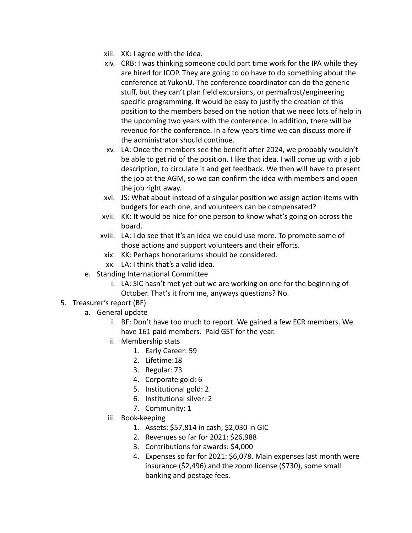- xiii. XK: I agree with the idea.
- xiv. CRB: I was thinking someone could part time work for the IPA while they are hired for ICOP. They are going to do have to do something about the conference at YukonU. The conference coordinator can do the generic stuff, but they can't plan field excursions, or permafrost/engineering specific programming. It would be easy to justify the creation of this position to the members based on the notion that we need lots of help in the upcoming two years with the conference. In addition, there will be revenue for the conference. In a few years time we can discuss more if the administrator should continue.
- xv. LA: Once the members see the benefit after 2024, we probably wouldn't be able to get rid of the position. I like that idea. I will come up with a job description, to circulate it and get feedback. We then will have to present the job at the AGM, so we can confirm the idea with members and open the job right away.
- xvi. JS: What about instead of a singular position we assign action items with budgets for each one, and volunteers can be compensated?
- xvii. KK: It would be nice for one person to know what's going on across the board.
- xviii. LA: I do see that it's an idea we could use more. To promote some of those actions and support volunteers and their efforts.
- xix. KK: Perhaps honorariums should be considered.
- xx. LA: I think that's a valid idea.
- e. Standing International Committee
	- i. LA: SIC hasn't met yet but we are working on one for the beginning of October. That's it from me, anyways questions? No.
- 5. Treasurer's report (BF)
	- a. General update
		- i. BF: Don't have too much to report. We gained a few ECR members. We have 161 paid members. Paid GST for the year.
		- ii. Membership stats
			- 1. Early Career: 59
			- 2. Lifetime:18
			- 3. Regular: 73
			- 4. Corporate gold: 6
			- 5. Institutional gold: 2
			- 6. Institutional silver: 2
			- 7. Community: 1
		- iii. Book-keeping
			- 1. Assets: \$57,814 in cash, \$2,030 in GIC
			- 2. Revenues so far for 2021: \$26,988
			- 3. Contributions for awards: \$4,000
			- 4. Expenses so far for 2021: \$6,078. Main expenses last month were insurance (\$2,496) and the zoom license (\$730), some small banking and postage fees.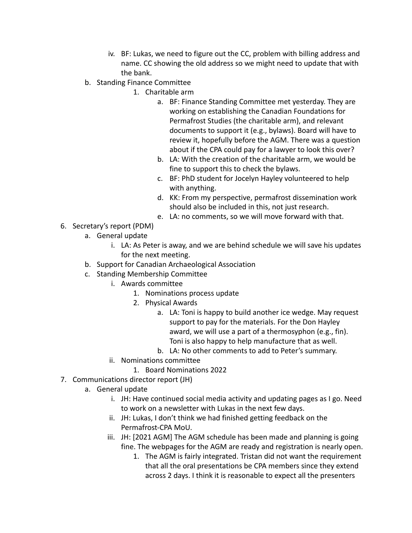- iv. BF: Lukas, we need to figure out the CC, problem with billing address and name. CC showing the old address so we might need to update that with the bank.
- b. Standing Finance Committee
	- 1. Charitable arm
		- a. BF: Finance Standing Committee met yesterday. They are working on establishing the Canadian Foundations for Permafrost Studies (the charitable arm), and relevant documents to support it (e.g., bylaws). Board will have to review it, hopefully before the AGM. There was a question about if the CPA could pay for a lawyer to look this over?
		- b. LA: With the creation of the charitable arm, we would be fine to support this to check the bylaws.
		- c. BF: PhD student for Jocelyn Hayley volunteered to help with anything.
		- d. KK: From my perspective, permafrost dissemination work should also be included in this, not just research.
		- e. LA: no comments, so we will move forward with that.
- 6. Secretary's report (PDM)
	- a. General update
		- i. LA: As Peter is away, and we are behind schedule we will save his updates for the next meeting.
	- b. Support for Canadian Archaeological Association
	- c. Standing Membership Committee
		- i. Awards committee
			- 1. Nominations process update
			- 2. Physical Awards
				- a. LA: Toni is happy to build another ice wedge. May request support to pay for the materials. For the Don Hayley award, we will use a part of a thermosyphon (e.g., fin). Toni is also happy to help manufacture that as well.
				- b. LA: No other comments to add to Peter's summary.
		- ii. Nominations committee
			- 1. Board Nominations 2022
- 7. Communications director report (JH)
	- a. General update
		- i. JH: Have continued social media activity and updating pages as I go. Need to work on a newsletter with Lukas in the next few days.
		- ii. JH: Lukas, I don't think we had finished getting feedback on the Permafrost-CPA MoU.
		- iii. JH: [2021 AGM] The AGM schedule has been made and planning is going fine. The webpages for the AGM are ready and registration is nearly open.
			- 1. The AGM is fairly integrated. Tristan did not want the requirement that all the oral presentations be CPA members since they extend across 2 days. I think it is reasonable to expect all the presenters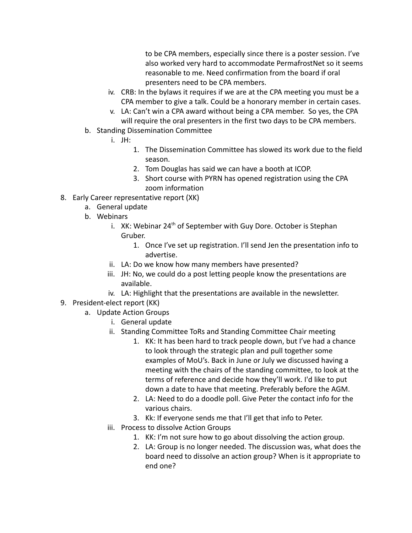to be CPA members, especially since there is a poster session. I've also worked very hard to accommodate PermafrostNet so it seems reasonable to me. Need confirmation from the board if oral presenters need to be CPA members.

- iv. CRB: In the bylaws it requires if we are at the CPA meeting you must be a CPA member to give a talk. Could be a honorary member in certain cases.
- v. LA: Can't win a CPA award without being a CPA member. So yes, the CPA will require the oral presenters in the first two days to be CPA members.
- b. Standing Dissemination Committee
	- i. JH:
		- 1. The Dissemination Committee has slowed its work due to the field season.
		- 2. Tom Douglas has said we can have a booth at ICOP.
		- 3. Short course with PYRN has opened registration using the CPA zoom information
- 8. Early Career representative report (XK)
	- a. General update
	- b. Webinars
		- i. XK: Webinar 24<sup>th</sup> of September with Guy Dore. October is Stephan Gruber.
			- 1. Once I've set up registration. I'll send Jen the presentation info to advertise.
		- ii. LA: Do we know how many members have presented?
		- iii. JH: No, we could do a post letting people know the presentations are available.
		- iv. LA: Highlight that the presentations are available in the newsletter.
- 9. President-elect report (KK)
	- a. Update Action Groups
		- i. General update
		- ii. Standing Committee ToRs and Standing Committee Chair meeting
			- 1. KK: It has been hard to track people down, but I've had a chance to look through the strategic plan and pull together some examples of MoU's. Back in June or July we discussed having a meeting with the chairs of the standing committee, to look at the terms of reference and decide how they'll work. I'd like to put down a date to have that meeting. Preferably before the AGM.
			- 2. LA: Need to do a doodle poll. Give Peter the contact info for the various chairs.
			- 3. Kk: If everyone sends me that I'll get that info to Peter.
		- iii. Process to dissolve Action Groups
			- 1. KK: I'm not sure how to go about dissolving the action group.
			- 2. LA: Group is no longer needed. The discussion was, what does the board need to dissolve an action group? When is it appropriate to end one?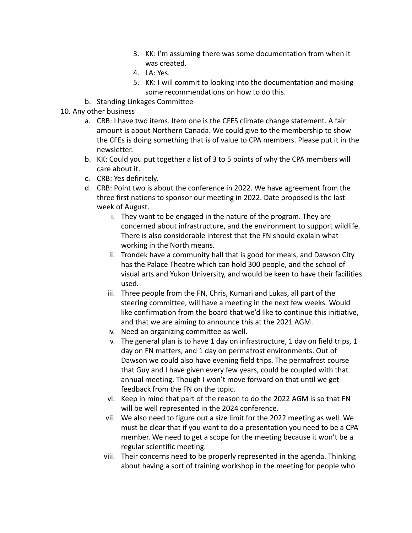- 3. KK: I'm assuming there was some documentation from when it was created.
- 4. LA: Yes.
- 5. KK: I will commit to looking into the documentation and making some recommendations on how to do this.
- b. Standing Linkages Committee

# 10. Any other business

- a. CRB: I have two items. Item one is the CFES climate change statement. A fair amount is about Northern Canada. We could give to the membership to show the CFEs is doing something that is of value to CPA members. Please put it in the newsletter.
- b. KK: Could you put together a list of 3 to 5 points of why the CPA members will care about it.
- c. CRB: Yes definitely.
- d. CRB: Point two is about the conference in 2022. We have agreement from the three first nations to sponsor our meeting in 2022. Date proposed is the last week of August.
	- i. They want to be engaged in the nature of the program. They are concerned about infrastructure, and the environment to support wildlife. There is also considerable interest that the FN should explain what working in the North means.
	- ii. Trondek have a community hall that is good for meals, and Dawson City has the Palace Theatre which can hold 300 people, and the school of visual arts and Yukon University, and would be keen to have their facilities used.
	- iii. Three people from the FN, Chris, Kumari and Lukas, all part of the steering committee, will have a meeting in the next few weeks. Would like confirmation from the board that we'd like to continue this initiative, and that we are aiming to announce this at the 2021 AGM.
	- iv. Need an organizing committee as well.
	- v. The general plan is to have 1 day on infrastructure, 1 day on field trips, 1 day on FN matters, and 1 day on permafrost environments. Out of Dawson we could also have evening field trips. The permafrost course that Guy and I have given every few years, could be coupled with that annual meeting. Though I won't move forward on that until we get feedback from the FN on the topic.
	- vi. Keep in mind that part of the reason to do the 2022 AGM is so that FN will be well represented in the 2024 conference.
	- vii. We also need to figure out a size limit for the 2022 meeting as well. We must be clear that if you want to do a presentation you need to be a CPA member. We need to get a scope for the meeting because it won't be a regular scientific meeting.
	- viii. Their concerns need to be properly represented in the agenda. Thinking about having a sort of training workshop in the meeting for people who